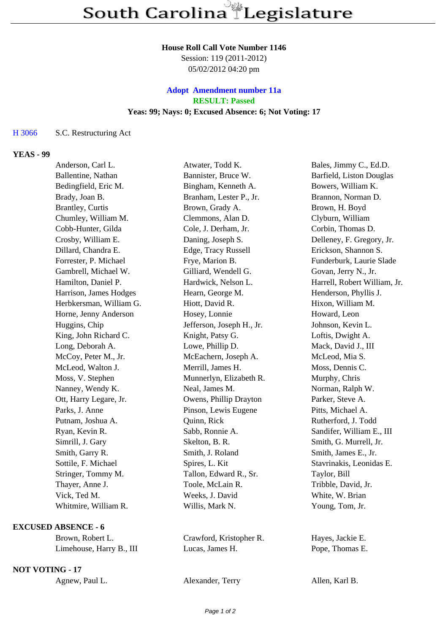#### **House Roll Call Vote Number 1146**

Session: 119 (2011-2012) 05/02/2012 04:20 pm

# **Adopt Amendment number 11a RESULT: Passed Yeas: 99; Nays: 0; Excused Absence: 6; Not Voting: 17**

### H 3066 S.C. Restructuring Act

## **YEAS - 99**

| Anderson, Carl L.       | Atwater, Todd K.          | Bales, Jimmy C., Ed.D.       |
|-------------------------|---------------------------|------------------------------|
| Ballentine, Nathan      | Bannister, Bruce W.       | Barfield, Liston Douglas     |
| Bedingfield, Eric M.    | Bingham, Kenneth A.       | Bowers, William K.           |
| Brady, Joan B.          | Branham, Lester P., Jr.   | Brannon, Norman D.           |
| Brantley, Curtis        | Brown, Grady A.           | Brown, H. Boyd               |
| Chumley, William M.     | Clemmons, Alan D.         | Clyburn, William             |
| Cobb-Hunter, Gilda      | Cole, J. Derham, Jr.      | Corbin, Thomas D.            |
| Crosby, William E.      | Daning, Joseph S.         | Delleney, F. Gregory, Jr.    |
| Dillard, Chandra E.     | Edge, Tracy Russell       | Erickson, Shannon S.         |
| Forrester, P. Michael   | Frye, Marion B.           | Funderburk, Laurie Slade     |
| Gambrell, Michael W.    | Gilliard, Wendell G.      | Govan, Jerry N., Jr.         |
| Hamilton, Daniel P.     | Hardwick, Nelson L.       | Harrell, Robert William, Jr. |
| Harrison, James Hodges  | Hearn, George M.          | Henderson, Phyllis J.        |
| Herbkersman, William G. | Hiott, David R.           | Hixon, William M.            |
| Horne, Jenny Anderson   | Hosey, Lonnie             | Howard, Leon                 |
| Huggins, Chip           | Jefferson, Joseph H., Jr. | Johnson, Kevin L.            |
| King, John Richard C.   | Knight, Patsy G.          | Loftis, Dwight A.            |
| Long, Deborah A.        | Lowe, Phillip D.          | Mack, David J., III          |
| McCoy, Peter M., Jr.    | McEachern, Joseph A.      | McLeod, Mia S.               |
| McLeod, Walton J.       | Merrill, James H.         | Moss, Dennis C.              |
| Moss, V. Stephen        | Munnerlyn, Elizabeth R.   | Murphy, Chris                |
| Nanney, Wendy K.        | Neal, James M.            | Norman, Ralph W.             |
| Ott, Harry Legare, Jr.  | Owens, Phillip Drayton    | Parker, Steve A.             |
| Parks, J. Anne          | Pinson, Lewis Eugene      | Pitts, Michael A.            |
| Putnam, Joshua A.       | Quinn, Rick               | Rutherford, J. Todd          |
| Ryan, Kevin R.          | Sabb, Ronnie A.           | Sandifer, William E., III    |
| Simrill, J. Gary        | Skelton, B. R.            | Smith, G. Murrell, Jr.       |
| Smith, Garry R.         | Smith, J. Roland          | Smith, James E., Jr.         |
| Sottile, F. Michael     | Spires, L. Kit            | Stavrinakis, Leonidas E.     |
| Stringer, Tommy M.      | Tallon, Edward R., Sr.    | Taylor, Bill                 |
| Thayer, Anne J.         | Toole, McLain R.          | Tribble, David, Jr.          |
| Vick, Ted M.            | Weeks, J. David           | White, W. Brian              |
| Whitmire, William R.    | Willis, Mark N.           | Young, Tom, Jr.              |
|                         |                           |                              |

# **EXCUSED ABSENCE - 6**

Limehouse, Harry B., III Lucas, James H. Pope, Thomas E.

### **NOT VOTING - 17**

Brown, Robert L. Crawford, Kristopher R. Hayes, Jackie E.

Agnew, Paul L. Alexander, Terry Allen, Karl B.